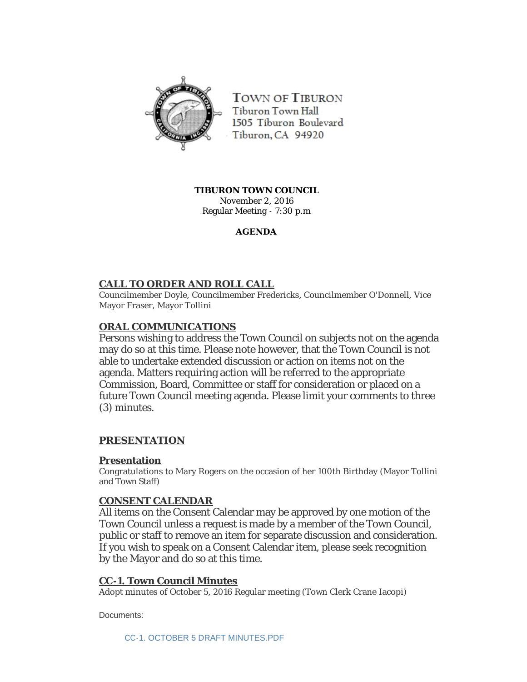

**TOWN OF TIBURON** Tiburon Town Hall 1505 Tiburon Boulevard Tiburon, CA 94920

**TIBURON TOWN COUNCIL** November 2, 2016 Regular Meeting - 7:30 p.m

## **AGENDA**

# **CALL TO ORDER AND ROLL CALL**

Councilmember Doyle, Councilmember Fredericks, Councilmember O'Donnell, Vice Mayor Fraser, Mayor Tollini

# **ORAL COMMUNICATIONS**

Persons wishing to address the Town Council on subjects not on the agenda may do so at this time. Please note however, that the Town Council is not able to undertake extended discussion or action on items not on the agenda. Matters requiring action will be referred to the appropriate Commission, Board, Committee or staff for consideration or placed on a future Town Council meeting agenda. Please limit your comments to three (3) minutes.

## **PRESENTATION**

### **Presentation**

Congratulations to Mary Rogers on the occasion of her 100th Birthday (Mayor Tollini and Town Staff)

### **CONSENT CALENDAR**

All items on the Consent Calendar may be approved by one motion of the Town Council unless a request is made by a member of the Town Council, public or staff to remove an item for separate discussion and consideration. If you wish to speak on a Consent Calendar item, please seek recognition by the Mayor and do so at this time.

### **CC-1. Town Council Minutes**

Adopt minutes of October 5, 2016 Regular meeting (Town Clerk Crane Iacopi)

Documents:

[CC-1. OCTOBER 5 DRAFT MINUTES.PDF](http://townoftiburon.org/AgendaCenter/ViewFile/Item/2361?fileID=1306)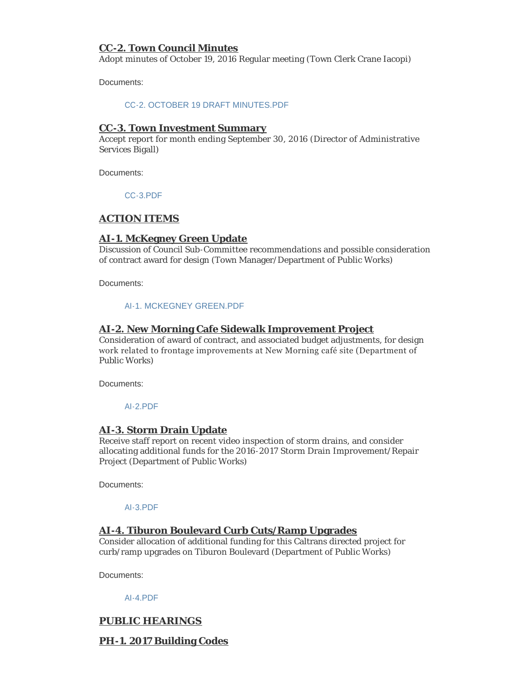## **CC-2. Town Council Minutes**

Adopt minutes of October 19, 2016 Regular meeting (Town Clerk Crane Iacopi)

Documents:

#### [CC-2. OCTOBER 19 DRAFT MINUTES.PDF](http://townoftiburon.org/AgendaCenter/ViewFile/Item/2362?fileID=1307)

#### **CC-3. Town Investment Summary**

Accept report for month ending September 30, 2016 (Director of Administrative Services Bigall)

Documents:

[CC-3.PDF](http://townoftiburon.org/AgendaCenter/ViewFile/Item/2379?fileID=1315)

## **ACTION ITEMS**

### **AI-1. McKegney Green Update**

Discussion of Council Sub-Committee recommendations and possible consideration of contract award for design (Town Manager/Department of Public Works)

Documents:

#### [AI-1. MCKEGNEY GREEN.PDF](http://townoftiburon.org/AgendaCenter/ViewFile/Item/2375?fileID=1316)

### **AI-2. New Morning Cafe Sidewalk Improvement Project**

Consideration of award of contract, and associated budget adjustments, for design work related to frontage improvements at New Morning café site (Department of Public Works)

Documents:

#### [AI-2.PDF](http://townoftiburon.org/AgendaCenter/ViewFile/Item/2376?fileID=1314)

#### **AI-3. Storm Drain Update**

Receive staff report on recent video inspection of storm drains, and consider allocating additional funds for the 2016-2017 Storm Drain Improvement/Repair Project (Department of Public Works)

Documents:

#### [AI-3.PDF](http://townoftiburon.org/AgendaCenter/ViewFile/Item/2377?fileID=1313)

### **AI-4. Tiburon Boulevard Curb Cuts/Ramp Upgrades**

Consider allocation of additional funding for this Caltrans directed project for curb/ramp upgrades on Tiburon Boulevard (Department of Public Works)

Documents:

#### [AI-4.PDF](http://townoftiburon.org/AgendaCenter/ViewFile/Item/2378?fileID=1312)

### **PUBLIC HEARINGS**

### **PH-1. 2017 Building Codes**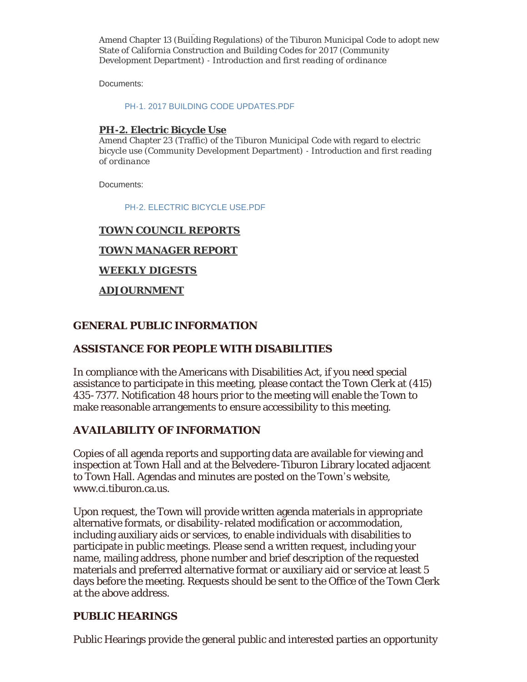**PH-1. 2017 Building Codes** Amend Chapter 13 (Building Regulations) of the Tiburon Municipal Code to adopt new State of California Construction and Building Codes for 2017 (Community Development Department) - *Introduction and first reading of ordinance*

Documents:

[PH-1. 2017 BUILDING CODE UPDATES.PDF](http://townoftiburon.org/AgendaCenter/ViewFile/Item/2359?fileID=1304)

## **PH-2. Electric Bicycle Use**

Amend Chapter 23 (Traffic) of the Tiburon Municipal Code with regard to electric bicycle use (Community Development Department) - *Introduction and first reading of ordinance*

Documents:

[PH-2. ELECTRIC BICYCLE USE.PDF](http://townoftiburon.org/AgendaCenter/ViewFile/Item/2360?fileID=1305)

# **TOWN COUNCIL REPORTS**

## **TOWN MANAGER REPORT**

## **WEEKLY DIGESTS**

## **ADJOURNMENT**

## **GENERAL PUBLIC INFORMATION**

# **ASSISTANCE FOR PEOPLE WITH DISABILITIES**

In compliance with the Americans with Disabilities Act, if you need special assistance to participate in this meeting, please contact the Town Clerk at (415) 435-7377. Notification 48 hours prior to the meeting will enable the Town to make reasonable arrangements to ensure accessibility to this meeting.

# **AVAILABILITY OF INFORMATION**

Copies of all agenda reports and supporting data are available for viewing and inspection at Town Hall and at the Belvedere-Tiburon Library located adjacent to Town Hall. Agendas and minutes are posted on the Town's website, www.ci.tiburon.ca.us.

Upon request, the Town will provide written agenda materials in appropriate alternative formats, or disability-related modification or accommodation, including auxiliary aids or services, to enable individuals with disabilities to participate in public meetings. Please send a written request, including your name, mailing address, phone number and brief description of the requested materials and preferred alternative format or auxiliary aid or service at least 5 days before the meeting. Requests should be sent to the Office of the Town Clerk at the above address.

# **PUBLIC HEARINGS**

Public Hearings provide the general public and interested parties an opportunity